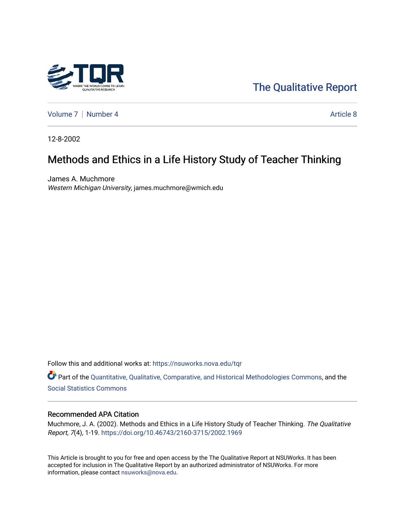

[The Qualitative Report](https://nsuworks.nova.edu/tqr) 

[Volume 7](https://nsuworks.nova.edu/tqr/vol7) | [Number 4](https://nsuworks.nova.edu/tqr/vol7/iss4) Article 8

12-8-2002

# Methods and Ethics in a Life History Study of Teacher Thinking

James A. Muchmore Western Michigan University, james.muchmore@wmich.edu

Follow this and additional works at: [https://nsuworks.nova.edu/tqr](https://nsuworks.nova.edu/tqr?utm_source=nsuworks.nova.edu%2Ftqr%2Fvol7%2Fiss4%2F8&utm_medium=PDF&utm_campaign=PDFCoverPages) 

Part of the [Quantitative, Qualitative, Comparative, and Historical Methodologies Commons,](http://network.bepress.com/hgg/discipline/423?utm_source=nsuworks.nova.edu%2Ftqr%2Fvol7%2Fiss4%2F8&utm_medium=PDF&utm_campaign=PDFCoverPages) and the [Social Statistics Commons](http://network.bepress.com/hgg/discipline/1275?utm_source=nsuworks.nova.edu%2Ftqr%2Fvol7%2Fiss4%2F8&utm_medium=PDF&utm_campaign=PDFCoverPages) 

#### Recommended APA Citation

Muchmore, J. A. (2002). Methods and Ethics in a Life History Study of Teacher Thinking. The Qualitative Report, 7(4), 1-19.<https://doi.org/10.46743/2160-3715/2002.1969>

This Article is brought to you for free and open access by the The Qualitative Report at NSUWorks. It has been accepted for inclusion in The Qualitative Report by an authorized administrator of NSUWorks. For more information, please contact [nsuworks@nova.edu.](mailto:nsuworks@nova.edu)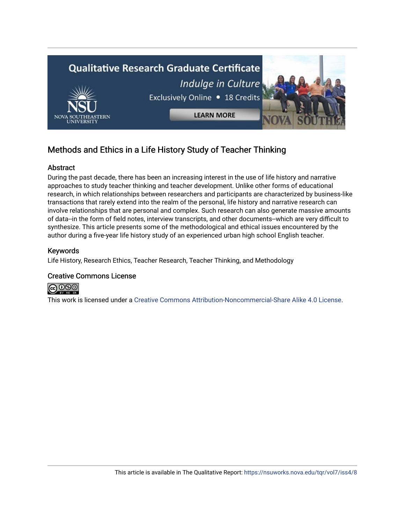

# Methods and Ethics in a Life History Study of Teacher Thinking

## Abstract

During the past decade, there has been an increasing interest in the use of life history and narrative approaches to study teacher thinking and teacher development. Unlike other forms of educational research, in which relationships between researchers and participants are characterized by business-like transactions that rarely extend into the realm of the personal, life history and narrative research can involve relationships that are personal and complex. Such research can also generate massive amounts of data--in the form of field notes, interview transcripts, and other documents--which are very difficult to synthesize. This article presents some of the methodological and ethical issues encountered by the author during a five-year life history study of an experienced urban high school English teacher.

#### Keywords

Life History, Research Ethics, Teacher Research, Teacher Thinking, and Methodology

#### Creative Commons License



This work is licensed under a [Creative Commons Attribution-Noncommercial-Share Alike 4.0 License](https://creativecommons.org/licenses/by-nc-sa/4.0/).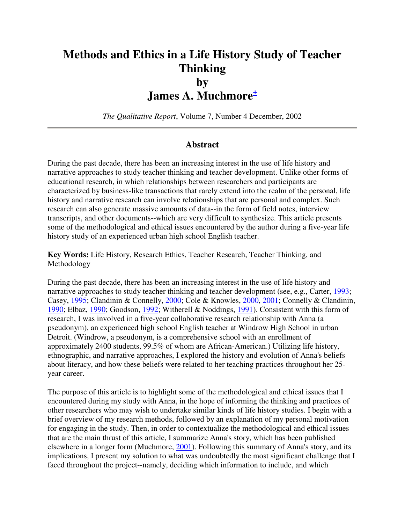# **Methods and Ethics in a Life History Study of Teacher Thinking by James A. Muchmore<sup>+</sup>**

*The Qualitative Report*, Volume 7, Number 4 December, 2002

#### **Abstract**

During the past decade, there has been an increasing interest in the use of life history and narrative approaches to study teacher thinking and teacher development. Unlike other forms of educational research, in which relationships between researchers and participants are characterized by business-like transactions that rarely extend into the realm of the personal, life history and narrative research can involve relationships that are personal and complex. Such research can also generate massive amounts of data--in the form of field notes, interview transcripts, and other documents--which are very difficult to synthesize. This article presents some of the methodological and ethical issues encountered by the author during a five-year life history study of an experienced urban high school English teacher.

**Key Words:** Life History, Research Ethics, Teacher Research, Teacher Thinking, and Methodology

During the past decade, there has been an increasing interest in the use of life history and narrative approaches to study teacher thinking and teacher development (see, e.g., Carter, 1993; Casey, 1995; Clandinin & Connelly, 2000; Cole & Knowles, 2000, 2001; Connelly & Clandinin, 1990; Elbaz, 1990; Goodson, 1992; Witherell & Noddings, 1991). Consistent with this form of research, I was involved in a five-year collaborative research relationship with Anna (a pseudonym), an experienced high school English teacher at Windrow High School in urban Detroit. (Windrow, a pseudonym, is a comprehensive school with an enrollment of approximately 2400 students, 99.5% of whom are African-American.) Utilizing life history, ethnographic, and narrative approaches, I explored the history and evolution of Anna's beliefs about literacy, and how these beliefs were related to her teaching practices throughout her 25 year career.

The purpose of this article is to highlight some of the methodological and ethical issues that I encountered during my study with Anna, in the hope of informing the thinking and practices of other researchers who may wish to undertake similar kinds of life history studies. I begin with a brief overview of my research methods, followed by an explanation of my personal motivation for engaging in the study. Then, in order to contextualize the methodological and ethical issues that are the main thrust of this article, I summarize Anna's story, which has been published elsewhere in a longer form (Muchmore, 2001). Following this summary of Anna's story, and its implications, I present my solution to what was undoubtedly the most significant challenge that I faced throughout the project--namely, deciding which information to include, and which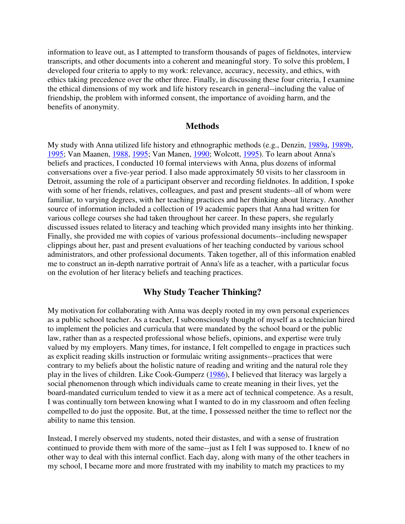information to leave out, as I attempted to transform thousands of pages of fieldnotes, interview transcripts, and other documents into a coherent and meaningful story. To solve this problem, I developed four criteria to apply to my work: relevance, accuracy, necessity, and ethics, with ethics taking precedence over the other three. Finally, in discussing these four criteria, I examine the ethical dimensions of my work and life history research in general--including the value of friendship, the problem with informed consent, the importance of avoiding harm, and the benefits of anonymity.

#### **Methods**

My study with Anna utilized life history and ethnographic methods (e.g., Denzin, 1989a, 1989b, 1995; Van Maanen, 1988, 1995; Van Manen, 1990; Wolcott, 1995). To learn about Anna's beliefs and practices, I conducted 10 formal interviews with Anna, plus dozens of informal conversations over a five-year period. I also made approximately 50 visits to her classroom in Detroit, assuming the role of a participant observer and recording fieldnotes. In addition, I spoke with some of her friends, relatives, colleagues, and past and present students--all of whom were familiar, to varying degrees, with her teaching practices and her thinking about literacy. Another source of information included a collection of 19 academic papers that Anna had written for various college courses she had taken throughout her career. In these papers, she regularly discussed issues related to literacy and teaching which provided many insights into her thinking. Finally, she provided me with copies of various professional documents--including newspaper clippings about her, past and present evaluations of her teaching conducted by various school administrators, and other professional documents. Taken together, all of this information enabled me to construct an in-depth narrative portrait of Anna's life as a teacher, with a particular focus on the evolution of her literacy beliefs and teaching practices.

## **Why Study Teacher Thinking?**

My motivation for collaborating with Anna was deeply rooted in my own personal experiences as a public school teacher. As a teacher, I subconsciously thought of myself as a technician hired to implement the policies and curricula that were mandated by the school board or the public law, rather than as a respected professional whose beliefs, opinions, and expertise were truly valued by my employers. Many times, for instance, I felt compelled to engage in practices such as explicit reading skills instruction or formulaic writing assignments--practices that were contrary to my beliefs about the holistic nature of reading and writing and the natural role they play in the lives of children. Like Cook-Gumperz (1986), I believed that literacy was largely a social phenomenon through which individuals came to create meaning in their lives, yet the board-mandated curriculum tended to view it as a mere act of technical competence. As a result, I was continually torn between knowing what I wanted to do in my classroom and often feeling compelled to do just the opposite. But, at the time, I possessed neither the time to reflect nor the ability to name this tension.

Instead, I merely observed my students, noted their distastes, and with a sense of frustration continued to provide them with more of the same--just as I felt I was supposed to. I knew of no other way to deal with this internal conflict. Each day, along with many of the other teachers in my school, I became more and more frustrated with my inability to match my practices to my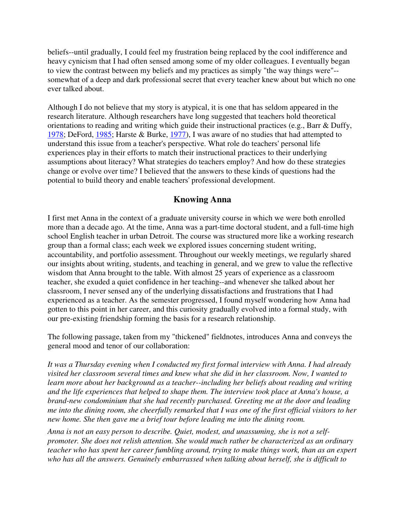beliefs--until gradually, I could feel my frustration being replaced by the cool indifference and heavy cynicism that I had often sensed among some of my older colleagues. I eventually began to view the contrast between my beliefs and my practices as simply "the way things were"- somewhat of a deep and dark professional secret that every teacher knew about but which no one ever talked about.

Although I do not believe that my story is atypical, it is one that has seldom appeared in the research literature. Although researchers have long suggested that teachers hold theoretical orientations to reading and writing which guide their instructional practices (e.g., Barr & Duffy, 1978; DeFord, 1985; Harste & Burke, 1977), I was aware of no studies that had attempted to understand this issue from a teacher's perspective. What role do teachers' personal life experiences play in their efforts to match their instructional practices to their underlying assumptions about literacy? What strategies do teachers employ? And how do these strategies change or evolve over time? I believed that the answers to these kinds of questions had the potential to build theory and enable teachers' professional development.

## **Knowing Anna**

I first met Anna in the context of a graduate university course in which we were both enrolled more than a decade ago. At the time, Anna was a part-time doctoral student, and a full-time high school English teacher in urban Detroit. The course was structured more like a working research group than a formal class; each week we explored issues concerning student writing, accountability, and portfolio assessment. Throughout our weekly meetings, we regularly shared our insights about writing, students, and teaching in general, and we grew to value the reflective wisdom that Anna brought to the table. With almost 25 years of experience as a classroom teacher, she exuded a quiet confidence in her teaching--and whenever she talked about her classroom, I never sensed any of the underlying dissatisfactions and frustrations that I had experienced as a teacher. As the semester progressed, I found myself wondering how Anna had gotten to this point in her career, and this curiosity gradually evolved into a formal study, with our pre-existing friendship forming the basis for a research relationship.

The following passage, taken from my "thickened" fieldnotes, introduces Anna and conveys the general mood and tenor of our collaboration:

*It was a Thursday evening when I conducted my first formal interview with Anna. I had already visited her classroom several times and knew what she did in her classroom. Now, I wanted to learn more about her background as a teacher--including her beliefs about reading and writing and the life experiences that helped to shape them. The interview took place at Anna's house, a brand-new condominium that she had recently purchased. Greeting me at the door and leading me into the dining room, she cheerfully remarked that I was one of the first official visitors to her new home. She then gave me a brief tour before leading me into the dining room.*

*Anna is not an easy person to describe. Quiet, modest, and unassuming, she is not a selfpromoter. She does not relish attention. She would much rather be characterized as an ordinary teacher who has spent her career fumbling around, trying to make things work, than as an expert who has all the answers. Genuinely embarrassed when talking about herself, she is difficult to*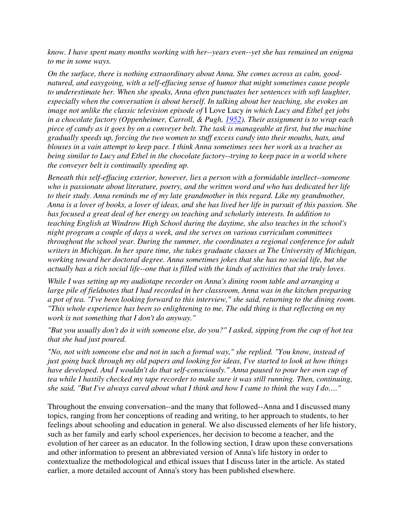*know. I have spent many months working with her--years even--yet she has remained an enigma to me in some ways.*

*On the surface, there is nothing extraordinary about Anna. She comes across as calm, goodnatured, and easygoing, with a self-effacing sense of humor that might sometimes cause people to underestimate her. When she speaks, Anna often punctuates her sentences with soft laughter, especially when the conversation is about herself. In talking about her teaching, she evokes an image not unlike the classic television episode of* I Love Lucy *in which Lucy and Ethel get jobs in a chocolate factory (Oppenheimer, Carroll, & Pugh, 1952). Their assignment is to wrap each piece of candy as it goes by on a conveyer belt. The task is manageable at first, but the machine gradually speeds up, forcing the two women to stuff excess candy into their mouths, hats, and blouses in a vain attempt to keep pace. I think Anna sometimes sees her work as a teacher as being similar to Lucy and Ethel in the chocolate factory--trying to keep pace in a world where the conveyer belt is continually speeding up.*

*Beneath this self-effacing exterior, however, lies a person with a formidable intellect--someone who is passionate about literature, poetry, and the written word and who has dedicated her life to their study. Anna reminds me of my late grandmother in this regard. Like my grandmother, Anna is a lover of books, a lover of ideas, and she has lived her life in pursuit of this passion. She has focused a great deal of her energy on teaching and scholarly interests. In addition to teaching English at Windrow High School during the daytime, she also teaches in the school's night program a couple of days a week, and she serves on various curriculum committees throughout the school year. During the summer, she coordinates a regional conference for adult writers in Michigan. In her spare time, she takes graduate classes at The University of Michigan, working toward her doctoral degree. Anna sometimes jokes that she has no social life, but she actually has a rich social life--one that is filled with the kinds of activities that she truly loves.* 

*While I was setting up my audiotape recorder on Anna's dining room table and arranging a large pile of fieldnotes that I had recorded in her classroom, Anna was in the kitchen preparing a pot of tea. "I've been looking forward to this interview," she said, returning to the dining room. "This whole experience has been so enlightening to me. The odd thing is that reflecting on my work is not something that I don't do anyway."* 

*"But you usually don't do it with someone else, do you?" I asked, sipping from the cup of hot tea that she had just poured.* 

*"No, not with someone else and not in such a formal way," she replied. "You know, instead of just going back through my old papers and looking for ideas, I've started to look at how things have developed. And I wouldn't do that self-consciously." Anna paused to pour her own cup of tea while I hastily checked my tape recorder to make sure it was still running. Then, continuing, she said, "But I've always cared about what I think and how I came to think the way I do…."*

Throughout the ensuing conversation--and the many that followed--Anna and I discussed many topics, ranging from her conceptions of reading and writing, to her approach to students, to her feelings about schooling and education in general. We also discussed elements of her life history, such as her family and early school experiences, her decision to become a teacher, and the evolution of her career as an educator. In the following section, I draw upon these conversations and other information to present an abbreviated version of Anna's life history in order to contextualize the methodological and ethical issues that I discuss later in the article. As stated earlier, a more detailed account of Anna's story has been published elsewhere.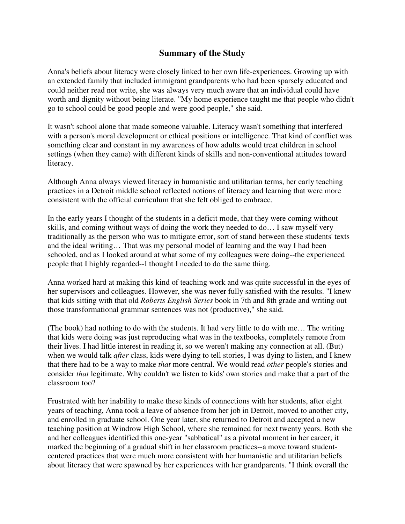# **Summary of the Study**

Anna's beliefs about literacy were closely linked to her own life-experiences. Growing up with an extended family that included immigrant grandparents who had been sparsely educated and could neither read nor write, she was always very much aware that an individual could have worth and dignity without being literate. "My home experience taught me that people who didn't go to school could be good people and were good people," she said.

It wasn't school alone that made someone valuable. Literacy wasn't something that interfered with a person's moral development or ethical positions or intelligence. That kind of conflict was something clear and constant in my awareness of how adults would treat children in school settings (when they came) with different kinds of skills and non-conventional attitudes toward literacy.

Although Anna always viewed literacy in humanistic and utilitarian terms, her early teaching practices in a Detroit middle school reflected notions of literacy and learning that were more consistent with the official curriculum that she felt obliged to embrace.

In the early years I thought of the students in a deficit mode, that they were coming without skills, and coming without ways of doing the work they needed to do… I saw myself very traditionally as the person who was to mitigate error, sort of stand between these students' texts and the ideal writing… That was my personal model of learning and the way I had been schooled, and as I looked around at what some of my colleagues were doing--the experienced people that I highly regarded--I thought I needed to do the same thing.

Anna worked hard at making this kind of teaching work and was quite successful in the eyes of her supervisors and colleagues. However, she was never fully satisfied with the results. "I knew that kids sitting with that old *Roberts English Series* book in 7th and 8th grade and writing out those transformational grammar sentences was not (productive)," she said.

(The book) had nothing to do with the students. It had very little to do with me… The writing that kids were doing was just reproducing what was in the textbooks, completely remote from their lives. I had little interest in reading it, so we weren't making any connection at all. (But) when we would talk *after* class, kids were dying to tell stories, I was dying to listen, and I knew that there had to be a way to make *that* more central. We would read *other* people's stories and consider *that* legitimate. Why couldn't we listen to kids' own stories and make that a part of the classroom too?

Frustrated with her inability to make these kinds of connections with her students, after eight years of teaching, Anna took a leave of absence from her job in Detroit, moved to another city, and enrolled in graduate school. One year later, she returned to Detroit and accepted a new teaching position at Windrow High School, where she remained for next twenty years. Both she and her colleagues identified this one-year "sabbatical" as a pivotal moment in her career; it marked the beginning of a gradual shift in her classroom practices--a move toward studentcentered practices that were much more consistent with her humanistic and utilitarian beliefs about literacy that were spawned by her experiences with her grandparents. "I think overall the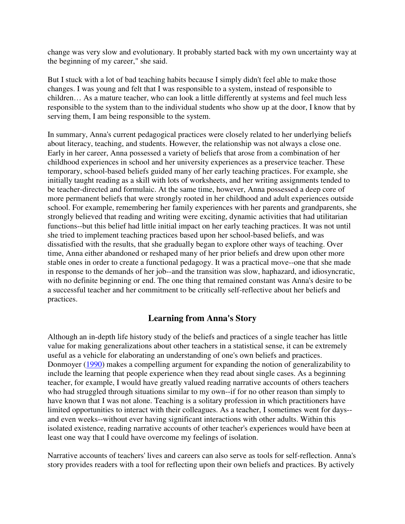change was very slow and evolutionary. It probably started back with my own uncertainty way at the beginning of my career," she said.

But I stuck with a lot of bad teaching habits because I simply didn't feel able to make those changes. I was young and felt that I was responsible to a system, instead of responsible to children… As a mature teacher, who can look a little differently at systems and feel much less responsible to the system than to the individual students who show up at the door, I know that by serving them, I am being responsible to the system.

In summary, Anna's current pedagogical practices were closely related to her underlying beliefs about literacy, teaching, and students. However, the relationship was not always a close one. Early in her career, Anna possessed a variety of beliefs that arose from a combination of her childhood experiences in school and her university experiences as a preservice teacher. These temporary, school-based beliefs guided many of her early teaching practices. For example, she initially taught reading as a skill with lots of worksheets, and her writing assignments tended to be teacher-directed and formulaic. At the same time, however, Anna possessed a deep core of more permanent beliefs that were strongly rooted in her childhood and adult experiences outside school. For example, remembering her family experiences with her parents and grandparents, she strongly believed that reading and writing were exciting, dynamic activities that had utilitarian functions--but this belief had little initial impact on her early teaching practices. It was not until she tried to implement teaching practices based upon her school-based beliefs, and was dissatisfied with the results, that she gradually began to explore other ways of teaching. Over time, Anna either abandoned or reshaped many of her prior beliefs and drew upon other more stable ones in order to create a functional pedagogy. It was a practical move--one that she made in response to the demands of her job--and the transition was slow, haphazard, and idiosyncratic, with no definite beginning or end. The one thing that remained constant was Anna's desire to be a successful teacher and her commitment to be critically self-reflective about her beliefs and practices.

# **Learning from Anna's Story**

Although an in-depth life history study of the beliefs and practices of a single teacher has little value for making generalizations about other teachers in a statistical sense, it can be extremely useful as a vehicle for elaborating an understanding of one's own beliefs and practices. Donmoyer (1990) makes a compelling argument for expanding the notion of generalizability to include the learning that people experience when they read about single cases. As a beginning teacher, for example, I would have greatly valued reading narrative accounts of others teachers who had struggled through situations similar to my own--if for no other reason than simply to have known that I was not alone. Teaching is a solitary profession in which practitioners have limited opportunities to interact with their colleagues. As a teacher, I sometimes went for days- and even weeks--without ever having significant interactions with other adults. Within this isolated existence, reading narrative accounts of other teacher's experiences would have been at least one way that I could have overcome my feelings of isolation.

Narrative accounts of teachers' lives and careers can also serve as tools for self-reflection. Anna's story provides readers with a tool for reflecting upon their own beliefs and practices. By actively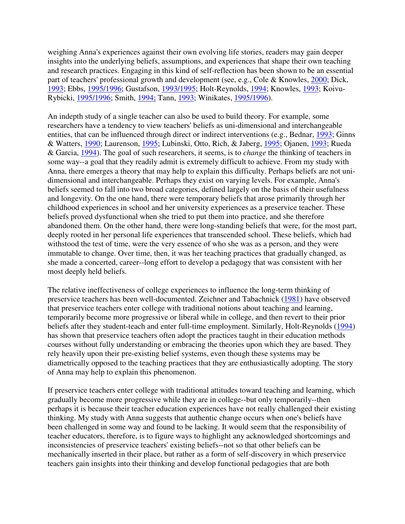weighing Anna's experiences against their own evolving life stories, readers may gain deeper insights into the underlying beliefs, assumptions, and experiences that shape their own teaching and research practices. Engaging in this kind of self-reflection has been shown to be an essential part of teachers' professional growth and development (see, e.g., Cole & Knowles, 2000; Dick, 1993; Ebbs, 1995/1996; Gustafson, 1993/1995; Holt-Reynolds, 1994; Knowles, 1993; Koivu-Rybicki, 1995/1996; Smith, 1994; Tann, 1993; Winikates, 1995/1996).

An indepth study of a single teacher can also be used to build theory. For example, some researchers have a tendency to view teachers' beliefs as uni-dimensional and interchangeable entities, that can be influenced through direct or indirect interventions (e.g., Bednar, 1993; Ginns & Watters, 1990; Laurenson, 1995; Lubinski, Otto, Rich, & Jaberg, 1995; Ojanen, 1993; Rueda & Garcia, 1994). The goal of such researchers, it seems, is to *change* the thinking of teachers in some way--a goal that they readily admit is extremely difficult to achieve. From my study with Anna, there emerges a theory that may help to explain this difficulty. Perhaps beliefs are not unidimensional and interchangeable. Perhaps they exist on varying levels. For example, Anna's beliefs seemed to fall into two broad categories, defined largely on the basis of their usefulness and longevity. On the one hand, there were temporary beliefs that arose primarily through her childhood experiences in school and her university experiences as a preservice teacher. These beliefs proved dysfunctional when she tried to put them into practice, and she therefore abandoned them. On the other hand, there were long-standing beliefs that were, for the most part, deeply rooted in her personal life experiences that transcended school. These beliefs, which had withstood the test of time, were the very essence of who she was as a person, and they were immutable to change. Over time, then, it was her teaching practices that gradually changed, as she made a concerted, career--long effort to develop a pedagogy that was consistent with her most deeply held beliefs.

The relative ineffectiveness of college experiences to influence the long-term thinking of preservice teachers has been well-documented. Zeichner and Tabachnick (1981) have observed that preservice teachers enter college with traditional notions about teaching and learning, temporarily become more progressive or liberal while in college, and then revert to their prior beliefs after they student-teach and enter full-time employment. Similarly, Holt-Reynolds (1994) has shown that preservice teachers often adopt the practices taught in their education methods courses without fully understanding or embracing the theories upon which they are based. They rely heavily upon their pre-existing belief systems, even though these systems may be diametrically opposed to the teaching practices that they are enthusiastically adopting. The story of Anna may help to explain this phenomenon.

If preservice teachers enter college with traditional attitudes toward teaching and learning, which gradually become more progressive while they are in college--but only temporarily--then perhaps it is because their teacher education experiences have not really challenged their existing thinking. My study with Anna suggests that authentic change occurs when one's beliefs have been challenged in some way and found to be lacking. It would seem that the responsibility of teacher educators, therefore, is to figure ways to highlight any acknowledged shortcomings and inconsistencies of preservice teachers' existing beliefs--not so that other beliefs can be mechanically inserted in their place, but rather as a form of self-discovery in which preservice teachers gain insights into their thinking and develop functional pedagogies that are both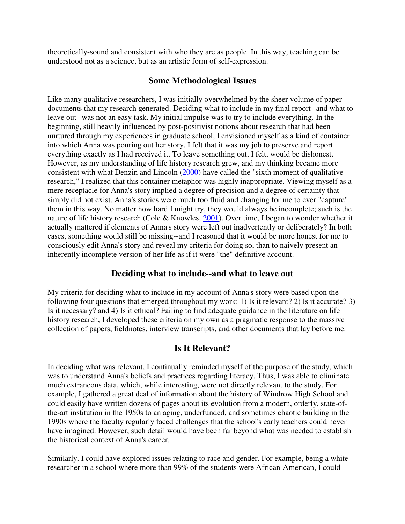theoretically-sound and consistent with who they are as people. In this way, teaching can be understood not as a science, but as an artistic form of self-expression.

## **Some Methodological Issues**

Like many qualitative researchers, I was initially overwhelmed by the sheer volume of paper documents that my research generated. Deciding what to include in my final report--and what to leave out--was not an easy task. My initial impulse was to try to include everything. In the beginning, still heavily influenced by post-positivist notions about research that had been nurtured through my experiences in graduate school, I envisioned myself as a kind of container into which Anna was pouring out her story. I felt that it was my job to preserve and report everything exactly as I had received it. To leave something out, I felt, would be dishonest. However, as my understanding of life history research grew, and my thinking became more consistent with what Denzin and Lincoln (2000) have called the "sixth moment of qualitative research," I realized that this container metaphor was highly inappropriate. Viewing myself as a mere receptacle for Anna's story implied a degree of precision and a degree of certainty that simply did not exist. Anna's stories were much too fluid and changing for me to ever "capture" them in this way. No matter how hard I might try, they would always be incomplete; such is the nature of life history research (Cole & Knowles, 2001). Over time, I began to wonder whether it actually mattered if elements of Anna's story were left out inadvertently or deliberately? In both cases, something would still be missing--and I reasoned that it would be more honest for me to consciously edit Anna's story and reveal my criteria for doing so, than to naively present an inherently incomplete version of her life as if it were "the" definitive account.

## **Deciding what to include--and what to leave out**

My criteria for deciding what to include in my account of Anna's story were based upon the following four questions that emerged throughout my work: 1) Is it relevant? 2) Is it accurate? 3) Is it necessary? and 4) Is it ethical? Failing to find adequate guidance in the literature on life history research, I developed these criteria on my own as a pragmatic response to the massive collection of papers, fieldnotes, interview transcripts, and other documents that lay before me.

## **Is It Relevant?**

In deciding what was relevant, I continually reminded myself of the purpose of the study, which was to understand Anna's beliefs and practices regarding literacy. Thus, I was able to eliminate much extraneous data, which, while interesting, were not directly relevant to the study. For example, I gathered a great deal of information about the history of Windrow High School and could easily have written dozens of pages about its evolution from a modern, orderly, state-ofthe-art institution in the 1950s to an aging, underfunded, and sometimes chaotic building in the 1990s where the faculty regularly faced challenges that the school's early teachers could never have imagined. However, such detail would have been far beyond what was needed to establish the historical context of Anna's career.

Similarly, I could have explored issues relating to race and gender. For example, being a white researcher in a school where more than 99% of the students were African-American, I could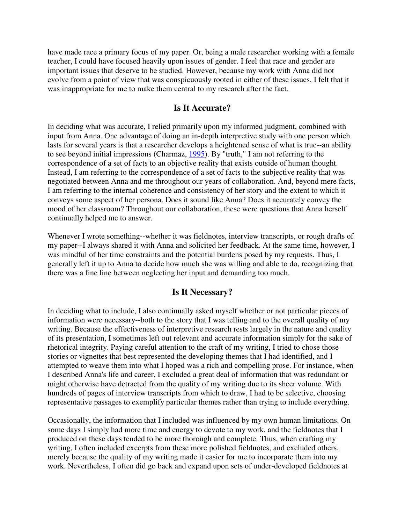have made race a primary focus of my paper. Or, being a male researcher working with a female teacher, I could have focused heavily upon issues of gender. I feel that race and gender are important issues that deserve to be studied. However, because my work with Anna did not evolve from a point of view that was conspicuously rooted in either of these issues, I felt that it was inappropriate for me to make them central to my research after the fact.

## **Is It Accurate?**

In deciding what was accurate, I relied primarily upon my informed judgment, combined with input from Anna. One advantage of doing an in-depth interpretive study with one person which lasts for several years is that a researcher develops a heightened sense of what is true--an ability to see beyond initial impressions (Charmaz, 1995). By "truth," I am not referring to the correspondence of a set of facts to an objective reality that exists outside of human thought. Instead, I am referring to the correspondence of a set of facts to the subjective reality that was negotiated between Anna and me throughout our years of collaboration. And, beyond mere facts, I am referring to the internal coherence and consistency of her story and the extent to which it conveys some aspect of her persona. Does it sound like Anna? Does it accurately convey the mood of her classroom? Throughout our collaboration, these were questions that Anna herself continually helped me to answer.

Whenever I wrote something--whether it was fieldnotes, interview transcripts, or rough drafts of my paper--I always shared it with Anna and solicited her feedback. At the same time, however, I was mindful of her time constraints and the potential burdens posed by my requests. Thus, I generally left it up to Anna to decide how much she was willing and able to do, recognizing that there was a fine line between neglecting her input and demanding too much.

## **Is It Necessary?**

In deciding what to include, I also continually asked myself whether or not particular pieces of information were necessary--both to the story that I was telling and to the overall quality of my writing. Because the effectiveness of interpretive research rests largely in the nature and quality of its presentation, I sometimes left out relevant and accurate information simply for the sake of rhetorical integrity. Paying careful attention to the craft of my writing, I tried to chose those stories or vignettes that best represented the developing themes that I had identified, and I attempted to weave them into what I hoped was a rich and compelling prose. For instance, when I described Anna's life and career, I excluded a great deal of information that was redundant or might otherwise have detracted from the quality of my writing due to its sheer volume. With hundreds of pages of interview transcripts from which to draw, I had to be selective, choosing representative passages to exemplify particular themes rather than trying to include everything.

Occasionally, the information that I included was influenced by my own human limitations. On some days I simply had more time and energy to devote to my work, and the fieldnotes that I produced on these days tended to be more thorough and complete. Thus, when crafting my writing, I often included excerpts from these more polished fieldnotes, and excluded others, merely because the quality of my writing made it easier for me to incorporate them into my work. Nevertheless, I often did go back and expand upon sets of under-developed fieldnotes at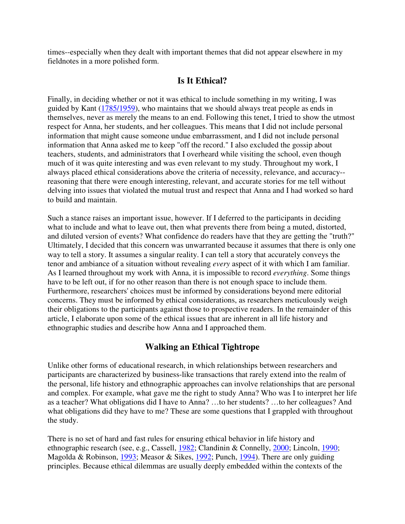times--especially when they dealt with important themes that did not appear elsewhere in my fieldnotes in a more polished form.

## **Is It Ethical?**

Finally, in deciding whether or not it was ethical to include something in my writing, I was guided by Kant (1785/1959), who maintains that we should always treat people as ends in themselves, never as merely the means to an end. Following this tenet, I tried to show the utmost respect for Anna, her students, and her colleagues. This means that I did not include personal information that might cause someone undue embarrassment, and I did not include personal information that Anna asked me to keep "off the record." I also excluded the gossip about teachers, students, and administrators that I overheard while visiting the school, even though much of it was quite interesting and was even relevant to my study. Throughout my work, I always placed ethical considerations above the criteria of necessity, relevance, and accuracy- reasoning that there were enough interesting, relevant, and accurate stories for me tell without delving into issues that violated the mutual trust and respect that Anna and I had worked so hard to build and maintain.

Such a stance raises an important issue, however. If I deferred to the participants in deciding what to include and what to leave out, then what prevents there from being a muted, distorted, and diluted version of events? What confidence do readers have that they are getting the "truth?" Ultimately, I decided that this concern was unwarranted because it assumes that there is only one way to tell a story. It assumes a singular reality. I can tell a story that accurately conveys the tenor and ambiance of a situation without revealing *every* aspect of it with which I am familiar. As I learned throughout my work with Anna, it is impossible to record *everything*. Some things have to be left out, if for no other reason than there is not enough space to include them. Furthermore, researchers' choices must be informed by considerations beyond mere editorial concerns. They must be informed by ethical considerations, as researchers meticulously weigh their obligations to the participants against those to prospective readers. In the remainder of this article, I elaborate upon some of the ethical issues that are inherent in all life history and ethnographic studies and describe how Anna and I approached them.

# **Walking an Ethical Tightrope**

Unlike other forms of educational research, in which relationships between researchers and participants are characterized by business-like transactions that rarely extend into the realm of the personal, life history and ethnographic approaches can involve relationships that are personal and complex. For example, what gave me the right to study Anna? Who was I to interpret her life as a teacher? What obligations did I have to Anna? …to her students? …to her colleagues? And what obligations did they have to me? These are some questions that I grappled with throughout the study.

There is no set of hard and fast rules for ensuring ethical behavior in life history and ethnographic research (see, e.g., Cassell, 1982; Clandinin & Connelly, 2000; Lincoln, 1990; Magolda & Robinson, 1993; Measor & Sikes, 1992; Punch, 1994). There are only guiding principles. Because ethical dilemmas are usually deeply embedded within the contexts of the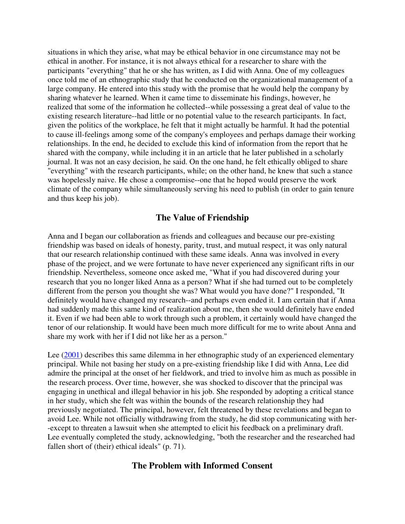situations in which they arise, what may be ethical behavior in one circumstance may not be ethical in another. For instance, it is not always ethical for a researcher to share with the participants "everything" that he or she has written, as I did with Anna. One of my colleagues once told me of an ethnographic study that he conducted on the organizational management of a large company. He entered into this study with the promise that he would help the company by sharing whatever he learned. When it came time to disseminate his findings, however, he realized that some of the information he collected--while possessing a great deal of value to the existing research literature--had little or no potential value to the research participants. In fact, given the politics of the workplace, he felt that it might actually be harmful. It had the potential to cause ill-feelings among some of the company's employees and perhaps damage their working relationships. In the end, he decided to exclude this kind of information from the report that he shared with the company, while including it in an article that he later published in a scholarly journal. It was not an easy decision, he said. On the one hand, he felt ethically obliged to share "everything" with the research participants, while; on the other hand, he knew that such a stance was hopelessly naive. He chose a compromise--one that he hoped would preserve the work climate of the company while simultaneously serving his need to publish (in order to gain tenure and thus keep his job).

## **The Value of Friendship**

Anna and I began our collaboration as friends and colleagues and because our pre-existing friendship was based on ideals of honesty, parity, trust, and mutual respect, it was only natural that our research relationship continued with these same ideals. Anna was involved in every phase of the project, and we were fortunate to have never experienced any significant rifts in our friendship. Nevertheless, someone once asked me, "What if you had discovered during your research that you no longer liked Anna as a person? What if she had turned out to be completely different from the person you thought she was? What would you have done?" I responded, "It definitely would have changed my research--and perhaps even ended it. I am certain that if Anna had suddenly made this same kind of realization about me, then she would definitely have ended it. Even if we had been able to work through such a problem, it certainly would have changed the tenor of our relationship. It would have been much more difficult for me to write about Anna and share my work with her if I did not like her as a person."

Lee (2001) describes this same dilemma in her ethnographic study of an experienced elementary principal. While not basing her study on a pre-existing friendship like I did with Anna, Lee did admire the principal at the onset of her fieldwork, and tried to involve him as much as possible in the research process. Over time, however, she was shocked to discover that the principal was engaging in unethical and illegal behavior in his job. She responded by adopting a critical stance in her study, which she felt was within the bounds of the research relationship they had previously negotiated. The principal, however, felt threatened by these revelations and began to avoid Lee. While not officially withdrawing from the study, he did stop communicating with her- -except to threaten a lawsuit when she attempted to elicit his feedback on a preliminary draft. Lee eventually completed the study, acknowledging, "both the researcher and the researched had fallen short of (their) ethical ideals" (p. 71).

#### **The Problem with Informed Consent**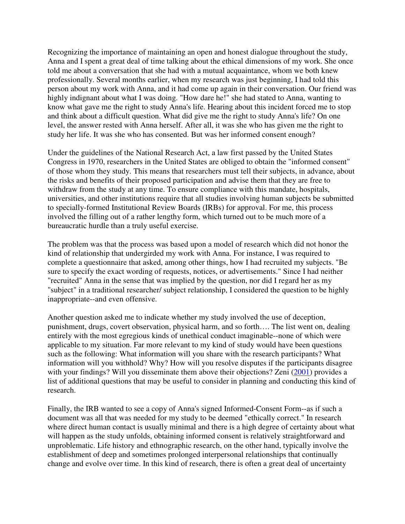Recognizing the importance of maintaining an open and honest dialogue throughout the study, Anna and I spent a great deal of time talking about the ethical dimensions of my work. She once told me about a conversation that she had with a mutual acquaintance, whom we both knew professionally. Several months earlier, when my research was just beginning, I had told this person about my work with Anna, and it had come up again in their conversation. Our friend was highly indignant about what I was doing. "How dare he!" she had stated to Anna, wanting to know what gave me the right to study Anna's life. Hearing about this incident forced me to stop and think about a difficult question. What did give me the right to study Anna's life? On one level, the answer rested with Anna herself. After all, it was she who has given me the right to study her life. It was she who has consented. But was her informed consent enough?

Under the guidelines of the National Research Act, a law first passed by the United States Congress in 1970, researchers in the United States are obliged to obtain the "informed consent" of those whom they study. This means that researchers must tell their subjects, in advance, about the risks and benefits of their proposed participation and advise them that they are free to withdraw from the study at any time. To ensure compliance with this mandate, hospitals, universities, and other institutions require that all studies involving human subjects be submitted to specially-formed Institutional Review Boards (IRBs) for approval. For me, this process involved the filling out of a rather lengthy form, which turned out to be much more of a bureaucratic hurdle than a truly useful exercise.

The problem was that the process was based upon a model of research which did not honor the kind of relationship that undergirded my work with Anna. For instance, I was required to complete a questionnaire that asked, among other things, how I had recruited my subjects. "Be sure to specify the exact wording of requests, notices, or advertisements." Since I had neither "recruited" Anna in the sense that was implied by the question, nor did I regard her as my "subject" in a traditional researcher/ subject relationship, I considered the question to be highly inappropriate--and even offensive.

Another question asked me to indicate whether my study involved the use of deception, punishment, drugs, covert observation, physical harm, and so forth…. The list went on, dealing entirely with the most egregious kinds of unethical conduct imaginable--none of which were applicable to my situation. Far more relevant to my kind of study would have been questions such as the following: What information will you share with the research participants? What information will you withhold? Why? How will you resolve disputes if the participants disagree with your findings? Will you disseminate them above their objections? Zeni (2001) provides a list of additional questions that may be useful to consider in planning and conducting this kind of research.

Finally, the IRB wanted to see a copy of Anna's signed Informed-Consent Form--as if such a document was all that was needed for my study to be deemed "ethically correct." In research where direct human contact is usually minimal and there is a high degree of certainty about what will happen as the study unfolds, obtaining informed consent is relatively straightforward and unproblematic. Life history and ethnographic research, on the other hand, typically involve the establishment of deep and sometimes prolonged interpersonal relationships that continually change and evolve over time. In this kind of research, there is often a great deal of uncertainty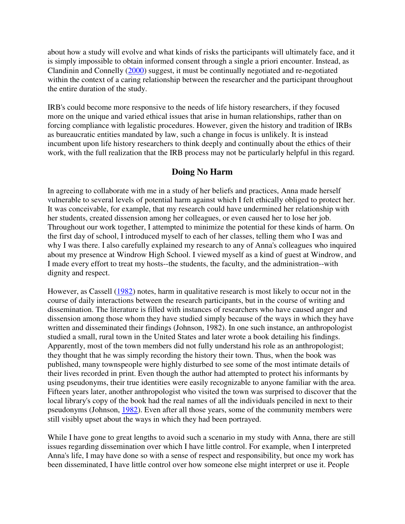about how a study will evolve and what kinds of risks the participants will ultimately face, and it is simply impossible to obtain informed consent through a single a priori encounter. Instead, as Clandinin and Connelly (2000) suggest, it must be continually negotiated and re-negotiated within the context of a caring relationship between the researcher and the participant throughout the entire duration of the study.

IRB's could become more responsive to the needs of life history researchers, if they focused more on the unique and varied ethical issues that arise in human relationships, rather than on forcing compliance with legalistic procedures. However, given the history and tradition of IRBs as bureaucratic entities mandated by law, such a change in focus is unlikely. It is instead incumbent upon life history researchers to think deeply and continually about the ethics of their work, with the full realization that the IRB process may not be particularly helpful in this regard.

## **Doing No Harm**

In agreeing to collaborate with me in a study of her beliefs and practices, Anna made herself vulnerable to several levels of potential harm against which I felt ethically obliged to protect her. It was conceivable, for example, that my research could have undermined her relationship with her students, created dissension among her colleagues, or even caused her to lose her job. Throughout our work together, I attempted to minimize the potential for these kinds of harm. On the first day of school, I introduced myself to each of her classes, telling them who I was and why I was there. I also carefully explained my research to any of Anna's colleagues who inquired about my presence at Windrow High School. I viewed myself as a kind of guest at Windrow, and I made every effort to treat my hosts--the students, the faculty, and the administration--with dignity and respect.

However, as Cassell (1982) notes, harm in qualitative research is most likely to occur not in the course of daily interactions between the research participants, but in the course of writing and dissemination. The literature is filled with instances of researchers who have caused anger and dissension among those whom they have studied simply because of the ways in which they have written and disseminated their findings (Johnson, 1982). In one such instance, an anthropologist studied a small, rural town in the United States and later wrote a book detailing his findings. Apparently, most of the town members did not fully understand his role as an anthropologist; they thought that he was simply recording the history their town. Thus, when the book was published, many townspeople were highly disturbed to see some of the most intimate details of their lives recorded in print. Even though the author had attempted to protect his informants by using pseudonyms, their true identities were easily recognizable to anyone familiar with the area. Fifteen years later, another anthropologist who visited the town was surprised to discover that the local library's copy of the book had the real names of all the individuals penciled in next to their pseudonyms (Johnson, 1982). Even after all those years, some of the community members were still visibly upset about the ways in which they had been portrayed.

While I have gone to great lengths to avoid such a scenario in my study with Anna, there are still issues regarding dissemination over which I have little control. For example, when I interpreted Anna's life, I may have done so with a sense of respect and responsibility, but once my work has been disseminated, I have little control over how someone else might interpret or use it. People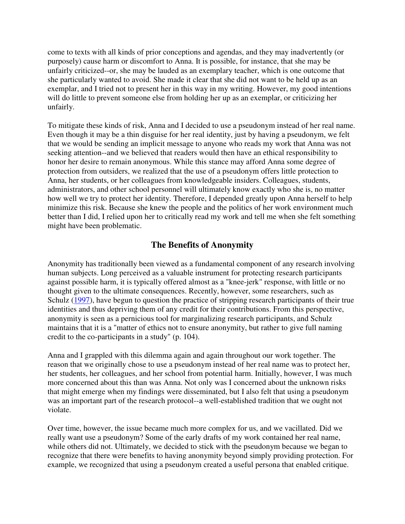come to texts with all kinds of prior conceptions and agendas, and they may inadvertently (or purposely) cause harm or discomfort to Anna. It is possible, for instance, that she may be unfairly criticized--or, she may be lauded as an exemplary teacher, which is one outcome that she particularly wanted to avoid. She made it clear that she did not want to be held up as an exemplar, and I tried not to present her in this way in my writing. However, my good intentions will do little to prevent someone else from holding her up as an exemplar, or criticizing her unfairly.

To mitigate these kinds of risk, Anna and I decided to use a pseudonym instead of her real name. Even though it may be a thin disguise for her real identity, just by having a pseudonym, we felt that we would be sending an implicit message to anyone who reads my work that Anna was not seeking attention--and we believed that readers would then have an ethical responsibility to honor her desire to remain anonymous. While this stance may afford Anna some degree of protection from outsiders, we realized that the use of a pseudonym offers little protection to Anna, her students, or her colleagues from knowledgeable insiders. Colleagues, students, administrators, and other school personnel will ultimately know exactly who she is, no matter how well we try to protect her identity. Therefore, I depended greatly upon Anna herself to help minimize this risk. Because she knew the people and the politics of her work environment much better than I did, I relied upon her to critically read my work and tell me when she felt something might have been problematic.

# **The Benefits of Anonymity**

Anonymity has traditionally been viewed as a fundamental component of any research involving human subjects. Long perceived as a valuable instrument for protecting research participants against possible harm, it is typically offered almost as a "knee-jerk" response, with little or no thought given to the ultimate consequences. Recently, however, some researchers, such as Schulz (1997), have begun to question the practice of stripping research participants of their true identities and thus depriving them of any credit for their contributions. From this perspective, anonymity is seen as a pernicious tool for marginalizing research participants, and Schulz maintains that it is a "matter of ethics not to ensure anonymity, but rather to give full naming credit to the co-participants in a study" (p. 104).

Anna and I grappled with this dilemma again and again throughout our work together. The reason that we originally chose to use a pseudonym instead of her real name was to protect her, her students, her colleagues, and her school from potential harm. Initially, however, I was much more concerned about this than was Anna. Not only was I concerned about the unknown risks that might emerge when my findings were disseminated, but I also felt that using a pseudonym was an important part of the research protocol--a well-established tradition that we ought not violate.

Over time, however, the issue became much more complex for us, and we vacillated. Did we really want use a pseudonym? Some of the early drafts of my work contained her real name, while others did not. Ultimately, we decided to stick with the pseudonym because we began to recognize that there were benefits to having anonymity beyond simply providing protection. For example, we recognized that using a pseudonym created a useful persona that enabled critique.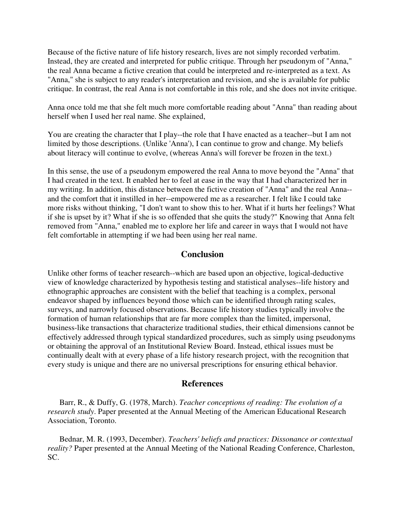Because of the fictive nature of life history research, lives are not simply recorded verbatim. Instead, they are created and interpreted for public critique. Through her pseudonym of "Anna," the real Anna became a fictive creation that could be interpreted and re-interpreted as a text. As "Anna," she is subject to any reader's interpretation and revision, and she is available for public critique. In contrast, the real Anna is not comfortable in this role, and she does not invite critique.

Anna once told me that she felt much more comfortable reading about "Anna" than reading about herself when I used her real name. She explained,

You are creating the character that I play--the role that I have enacted as a teacher--but I am not limited by those descriptions. (Unlike 'Anna'), I can continue to grow and change. My beliefs about literacy will continue to evolve, (whereas Anna's will forever be frozen in the text.)

In this sense, the use of a pseudonym empowered the real Anna to move beyond the "Anna" that I had created in the text. It enabled her to feel at ease in the way that I had characterized her in my writing. In addition, this distance between the fictive creation of "Anna" and the real Anna- and the comfort that it instilled in her--empowered me as a researcher. I felt like I could take more risks without thinking, "I don't want to show this to her. What if it hurts her feelings? What if she is upset by it? What if she is so offended that she quits the study?" Knowing that Anna felt removed from "Anna," enabled me to explore her life and career in ways that I would not have felt comfortable in attempting if we had been using her real name.

### **Conclusion**

Unlike other forms of teacher research--which are based upon an objective, logical-deductive view of knowledge characterized by hypothesis testing and statistical analyses--life history and ethnographic approaches are consistent with the belief that teaching is a complex, personal endeavor shaped by influences beyond those which can be identified through rating scales, surveys, and narrowly focused observations. Because life history studies typically involve the formation of human relationships that are far more complex than the limited, impersonal, business-like transactions that characterize traditional studies, their ethical dimensions cannot be effectively addressed through typical standardized procedures, such as simply using pseudonyms or obtaining the approval of an Institutional Review Board. Instead, ethical issues must be continually dealt with at every phase of a life history research project, with the recognition that every study is unique and there are no universal prescriptions for ensuring ethical behavior.

#### **References**

 Barr, R., & Duffy, G. (1978, March). *Teacher conceptions of reading: The evolution of a research study*. Paper presented at the Annual Meeting of the American Educational Research Association, Toronto.

 Bednar, M. R. (1993, December). *Teachers' beliefs and practices: Dissonance or contextual reality?* Paper presented at the Annual Meeting of the National Reading Conference, Charleston, SC.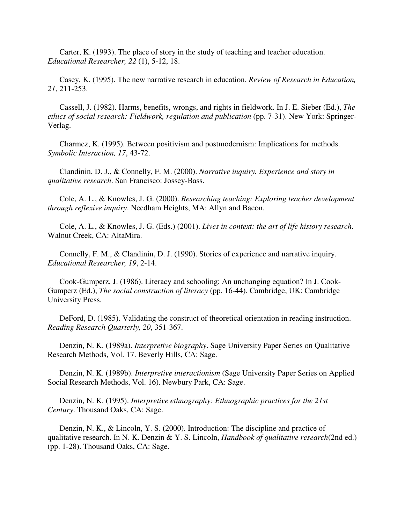Carter, K. (1993). The place of story in the study of teaching and teacher education. *Educational Researcher, 22* (1), 5-12, 18.

 Casey, K. (1995). The new narrative research in education. *Review of Research in Education, 21*, 211-253.

 Cassell, J. (1982). Harms, benefits, wrongs, and rights in fieldwork. In J. E. Sieber (Ed.), *The ethics of social research: Fieldwork, regulation and publication* (pp. 7-31). New York: Springer-Verlag.

 Charmez, K. (1995). Between positivism and postmodernism: Implications for methods. *Symbolic Interaction, 17*, 43-72.

 Clandinin, D. J., & Connelly, F. M. (2000). *Narrative inquiry. Experience and story in qualitative research*. San Francisco: Jossey-Bass.

 Cole, A. L., & Knowles, J. G. (2000). *Researching teaching: Exploring teacher development through reflexive inquiry*. Needham Heights, MA: Allyn and Bacon.

 Cole, A. L., & Knowles, J. G. (Eds.) (2001). *Lives in context: the art of life history research*. Walnut Creek, CA: AltaMira.

 Connelly, F. M., & Clandinin, D. J. (1990). Stories of experience and narrative inquiry. *Educational Researcher, 19*, 2-14.

 Cook-Gumperz, J. (1986). Literacy and schooling: An unchanging equation? In J. Cook-Gumperz (Ed.), *The social construction of literacy* (pp. 16-44). Cambridge, UK: Cambridge University Press.

 DeFord, D. (1985). Validating the construct of theoretical orientation in reading instruction. *Reading Research Quarterly, 20*, 351-367.

 Denzin, N. K. (1989a). *Interpretive biography*. Sage University Paper Series on Qualitative Research Methods, Vol. 17. Beverly Hills, CA: Sage.

 Denzin, N. K. (1989b). *Interpretive interactionism* (Sage University Paper Series on Applied Social Research Methods, Vol. 16). Newbury Park, CA: Sage.

 Denzin, N. K. (1995). *Interpretive ethnography: Ethnographic practices for the 21st Century*. Thousand Oaks, CA: Sage.

 Denzin, N. K., & Lincoln, Y. S. (2000). Introduction: The discipline and practice of qualitative research. In N. K. Denzin & Y. S. Lincoln, *Handbook of qualitative research*(2nd ed.) (pp. 1-28). Thousand Oaks, CA: Sage.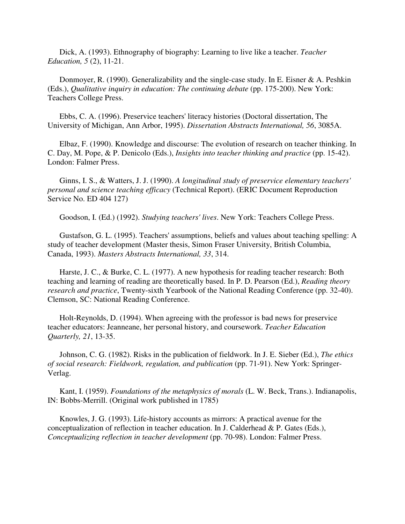Dick, A. (1993). Ethnography of biography: Learning to live like a teacher. *Teacher Education, 5* (2), 11-21.

Donmoyer, R. (1990). Generalizability and the single-case study. In E. Eisner & A. Peshkin (Eds.), *Qualitative inquiry in education: The continuing debate* (pp. 175-200). New York: Teachers College Press.

 Ebbs, C. A. (1996). Preservice teachers' literacy histories (Doctoral dissertation, The University of Michigan, Ann Arbor, 1995). *Dissertation Abstracts International, 56*, 3085A.

 Elbaz, F. (1990). Knowledge and discourse: The evolution of research on teacher thinking. In C. Day, M. Pope, & P. Denicolo (Eds.), *Insights into teacher thinking and practice* (pp. 15-42). London: Falmer Press.

 Ginns, I. S., & Watters, J. J. (1990). *A longitudinal study of preservice elementary teachers' personal and science teaching efficacy* (Technical Report). (ERIC Document Reproduction Service No. ED 404 127)

Goodson, I. (Ed.) (1992). *Studying teachers' lives*. New York: Teachers College Press.

 Gustafson, G. L. (1995). Teachers' assumptions, beliefs and values about teaching spelling: A study of teacher development (Master thesis, Simon Fraser University, British Columbia, Canada, 1993). *Masters Abstracts International, 33*, 314.

 Harste, J. C., & Burke, C. L. (1977). A new hypothesis for reading teacher research: Both teaching and learning of reading are theoretically based. In P. D. Pearson (Ed.), *Reading theory research and practice*, Twenty-sixth Yearbook of the National Reading Conference (pp. 32-40). Clemson, SC: National Reading Conference.

 Holt-Reynolds, D. (1994). When agreeing with the professor is bad news for preservice teacher educators: Jeanneane, her personal history, and coursework. *Teacher Education Quarterly, 21*, 13-35.

 Johnson, C. G. (1982). Risks in the publication of fieldwork. In J. E. Sieber (Ed.), *The ethics of social research: Fieldwork, regulation, and publication* (pp. 71-91). New York: Springer-Verlag.

 Kant, I. (1959). *Foundations of the metaphysics of morals* (L. W. Beck, Trans.). Indianapolis, IN: Bobbs-Merrill. (Original work published in 1785)

 Knowles, J. G. (1993). Life-history accounts as mirrors: A practical avenue for the conceptualization of reflection in teacher education. In J. Calderhead & P. Gates (Eds.), *Conceptualizing reflection in teacher development* (pp. 70-98). London: Falmer Press.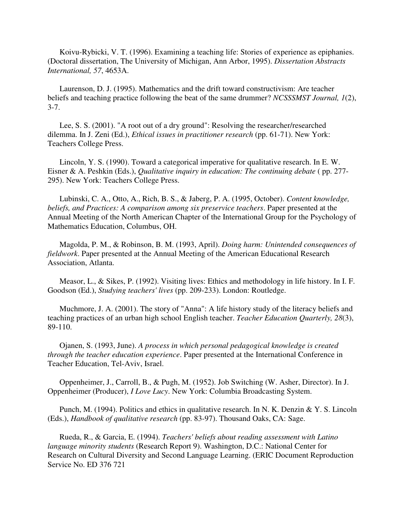Koivu-Rybicki, V. T. (1996). Examining a teaching life: Stories of experience as epiphanies. (Doctoral dissertation, The University of Michigan, Ann Arbor, 1995). *Dissertation Abstracts International, 57*, 4653A.

 Laurenson, D. J. (1995). Mathematics and the drift toward constructivism: Are teacher beliefs and teaching practice following the beat of the same drummer? *NCSSSMST Journal, 1*(2), 3-7.

 Lee, S. S. (2001). "A root out of a dry ground": Resolving the researcher/researched dilemma. In J. Zeni (Ed.), *Ethical issues in practitioner research* (pp. 61-71). New York: Teachers College Press.

 Lincoln, Y. S. (1990). Toward a categorical imperative for qualitative research. In E. W. Eisner & A. Peshkin (Eds.), *Qualitative inquiry in education: The continuing debate* ( pp. 277- 295). New York: Teachers College Press.

 Lubinski, C. A., Otto, A., Rich, B. S., & Jaberg, P. A. (1995, October). *Content knowledge, beliefs, and Practices: A comparison among six preservice teachers*. Paper presented at the Annual Meeting of the North American Chapter of the International Group for the Psychology of Mathematics Education, Columbus, OH.

 Magolda, P. M., & Robinson, B. M. (1993, April). *Doing harm: Unintended consequences of fieldwork*. Paper presented at the Annual Meeting of the American Educational Research Association, Atlanta.

 Measor, L., & Sikes, P. (1992). Visiting lives: Ethics and methodology in life history. In I. F. Goodson (Ed.), *Studying teachers' lives* (pp. 209-233). London: Routledge.

 Muchmore, J. A. (2001). The story of "Anna": A life history study of the literacy beliefs and teaching practices of an urban high school English teacher. *Teacher Education Quarterly, 28*(3), 89-110.

 Ojanen, S. (1993, June). *A process in which personal pedagogical knowledge is created through the teacher education experience*. Paper presented at the International Conference in Teacher Education, Tel-Aviv, Israel.

 Oppenheimer, J., Carroll, B., & Pugh, M. (1952). Job Switching (W. Asher, Director). In J. Oppenheimer (Producer), *I Love Lucy*. New York: Columbia Broadcasting System.

 Punch, M. (1994). Politics and ethics in qualitative research. In N. K. Denzin & Y. S. Lincoln (Eds.), *Handbook of qualitative research* (pp. 83-97). Thousand Oaks, CA: Sage.

 Rueda, R., & Garcia, E. (1994). *Teachers' beliefs about reading assessment with Latino language minority students* (Research Report 9). Washington, D.C.: National Center for Research on Cultural Diversity and Second Language Learning. (ERIC Document Reproduction Service No. ED 376 721